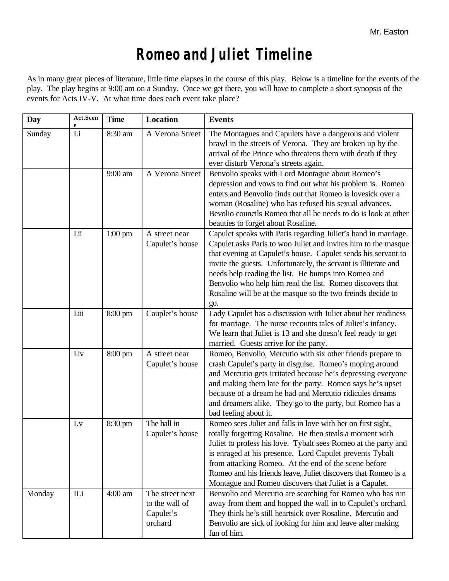## *Romeo and Juliet* **Timeline**

As in many great pieces of literature, little time elapses in the course of this play. Below is a timeline for the events of the play. The play begins at 9:00 am on a Sunday. Once we get there, you will have to complete a short synopsis of the events for Acts IV-V. At what time does each event take place?

| <b>Day</b> | Act.Scen | <b>Time</b>       | Location                                                  | <b>Events</b>                                                                                                                                                                                                                                                                                                                                                                                                                                                   |
|------------|----------|-------------------|-----------------------------------------------------------|-----------------------------------------------------------------------------------------------------------------------------------------------------------------------------------------------------------------------------------------------------------------------------------------------------------------------------------------------------------------------------------------------------------------------------------------------------------------|
| Sunday     | I.i      | 8:30 am           | A Verona Street                                           | The Montagues and Capulets have a dangerous and violent<br>brawl in the streets of Verona. They are broken up by the<br>arrival of the Prince who threatens them with death if they<br>ever disturb Verona's streets again.                                                                                                                                                                                                                                     |
|            |          | 9:00 am           | A Verona Street                                           | Benvolio speaks with Lord Montague about Romeo's<br>depression and vows to find out what his problem is. Romeo<br>enters and Benvolio finds out that Romeo is lovesick over a<br>woman (Rosaline) who has refused his sexual advances.<br>Bevolio councils Romeo that all he needs to do is look at other<br>beauties to forget about Rosaline.                                                                                                                 |
|            | I.ii     | $1:00$ pm         | A street near<br>Capulet's house                          | Capulet speaks with Paris regarding Juliet's hand in marriage.<br>Capulet asks Paris to woo Juliet and invites him to the masque<br>that evening at Capulet's house. Capulet sends his servant to<br>invite the guests. Unfortunately, the servant is illiterate and<br>needs help reading the list. He bumps into Romeo and<br>Benvolio who help him read the list. Romeo discovers that<br>Rosaline will be at the masque so the two freinds decide to<br>go. |
|            | Liii     | $8:00 \text{ pm}$ | Cauplet's house                                           | Lady Capulet has a discussion with Juliet about her readiness<br>for marriage. The nurse recounts tales of Juliet's infancy.<br>We learn that Juliet is 13 and she doesn't feel ready to get<br>married. Guests arrive for the party.                                                                                                                                                                                                                           |
|            | Liv      | 8:00 pm           | A street near<br>Capulet's house                          | Romeo, Benvolio, Mercutio with six other friends prepare to<br>crash Capulet's party in disguise. Romeo's moping around<br>and Mercutio gets irritated because he's depressing everyone<br>and making them late for the party. Romeo says he's upset<br>because of a dream he had and Mercutio ridicules dreams<br>and dreamers alike. They go to the party, but Romeo has a<br>bad feeling about it.                                                           |
|            | I.v      | 8:30 pm           | The hall in<br>Capulet's house                            | Romeo sees Juliet and falls in love with her on first sight,<br>totally forgetting Rosaline. He then steals a moment with<br>Juliet to profess his love. Tybalt sees Romeo at the party and<br>is enraged at his presence. Lord Capulet prevents Tybalt<br>from attacking Romeo. At the end of the scene before<br>Romeo and his friends leave, Juliet discovers that Romeo is a<br>Montague and Romeo discovers that Juliet is a Capulet.                      |
| Monday     | II.i     | $4:00$ am         | The street next<br>to the wall of<br>Capulet's<br>orchard | Benvolio and Mercutio are searching for Romeo who has run<br>away from them and hopped the wall in to Capulet's orchard.<br>They think he's still heartsick over Rosaline. Mercutio and<br>Benvolio are sick of looking for him and leave after making<br>fun of him.                                                                                                                                                                                           |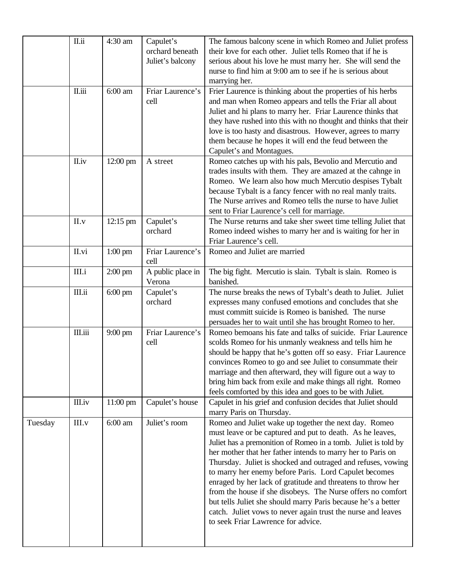|         | II.ii   | 4:30 am            | Capulet's<br>orchard beneath<br>Juliet's balcony | The famous balcony scene in which Romeo and Juliet profess<br>their love for each other. Juliet tells Romeo that if he is<br>serious about his love he must marry her. She will send the<br>nurse to find him at 9:00 am to see if he is serious about<br>marrying her.                                                                                                                                                                                                                                                                                                                                                                                                           |
|---------|---------|--------------------|--------------------------------------------------|-----------------------------------------------------------------------------------------------------------------------------------------------------------------------------------------------------------------------------------------------------------------------------------------------------------------------------------------------------------------------------------------------------------------------------------------------------------------------------------------------------------------------------------------------------------------------------------------------------------------------------------------------------------------------------------|
|         | II.iii  | $6:00$ am          | Friar Laurence's<br>cell                         | Frier Laurence is thinking about the properties of his herbs<br>and man when Romeo appears and tells the Friar all about<br>Juliet and hi plans to marry her. Friar Laurence thinks that<br>they have rushed into this with no thought and thinks that their<br>love is too hasty and disastrous. However, agrees to marry<br>them because he hopes it will end the feud between the<br>Capulet's and Montagues.                                                                                                                                                                                                                                                                  |
|         | II.iv   | 12:00 pm           | A street                                         | Romeo catches up with his pals, Bevolio and Mercutio and<br>trades insults with them. They are amazed at the cahnge in<br>Romeo. We learn also how much Mercutio despises Tybalt<br>because Tybalt is a fancy fencer with no real manly traits.<br>The Nurse arrives and Romeo tells the nurse to have Juliet<br>sent to Friar Laurence's cell for marriage.                                                                                                                                                                                                                                                                                                                      |
|         | II.v    | 12:15 pm           | Capulet's<br>orchard                             | The Nurse returns and take sher sweet time telling Juliet that<br>Romeo indeed wishes to marry her and is waiting for her in<br>Friar Laurence's cell.                                                                                                                                                                                                                                                                                                                                                                                                                                                                                                                            |
|         | II.vi   | $1:00$ pm          | Friar Laurence's<br>cell                         | Romeo and Juliet are married                                                                                                                                                                                                                                                                                                                                                                                                                                                                                                                                                                                                                                                      |
|         | III.i   | $2:00 \text{ pm}$  | A public place in<br>Verona                      | The big fight. Mercutio is slain. Tybalt is slain. Romeo is<br>banished.                                                                                                                                                                                                                                                                                                                                                                                                                                                                                                                                                                                                          |
|         | III.ii  | $6:00$ pm          | Capulet's<br>orchard                             | The nurse breaks the news of Tybalt's death to Juliet. Juliet<br>expresses many confused emotions and concludes that she<br>must committ suicide is Romeo is banished. The nurse<br>persuades her to wait until she has brought Romeo to her.                                                                                                                                                                                                                                                                                                                                                                                                                                     |
|         | III.iii | $9:00 \text{ pm}$  | Friar Laurence's<br>cell                         | Romeo bemoans his fate and talks of suicide. Friar Laurence<br>scolds Romeo for his unmanly weakness and tells him he<br>should be happy that he's gotten off so easy. Friar Laurence<br>convinces Romeo to go and see Juliet to consummate their<br>marriage and then afterward, they will figure out a way to<br>bring him back from exile and make things all right. Romeo<br>feels comforted by this idea and goes to be with Juliet.                                                                                                                                                                                                                                         |
|         | III.iv  | $11:00 \text{ pm}$ | Capulet's house                                  | Capulet in his grief and confusion decides that Juliet should<br>marry Paris on Thursday.                                                                                                                                                                                                                                                                                                                                                                                                                                                                                                                                                                                         |
| Tuesday | III.v   | 6:00 am            | Juliet's room                                    | Romeo and Juliet wake up together the next day. Romeo<br>must leave or be captured and put to death. As he leaves,<br>Juliet has a premonition of Romeo in a tomb. Juliet is told by<br>her mother that her father intends to marry her to Paris on<br>Thursday. Juliet is shocked and outraged and refuses, vowing<br>to marry her enemy before Paris. Lord Capulet becomes<br>enraged by her lack of gratitude and threatens to throw her<br>from the house if she disobeys. The Nurse offers no comfort<br>but tells Juliet she should marry Paris because he's a better<br>catch. Juliet vows to never again trust the nurse and leaves<br>to seek Friar Lawrence for advice. |